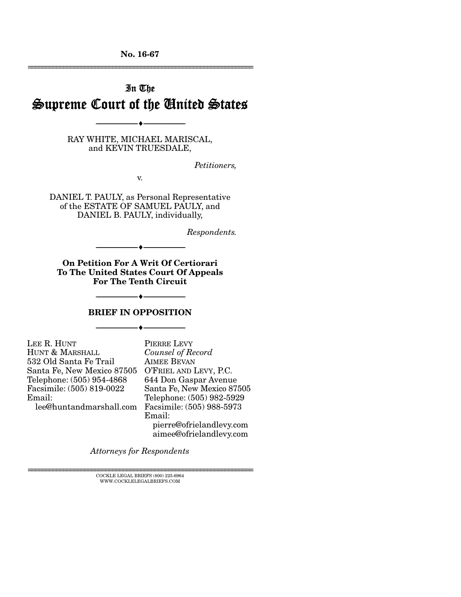No. 16-67 ================================================================

# In The Supreme Court of the United States

RAY WHITE, MICHAEL MARISCAL, and KEVIN TRUESDALE,

--------------------------------- ---------------------------------

*Petitioners,* 

v.

DANIEL T. PAULY, as Personal Representative of the ESTATE OF SAMUEL PAULY, and DANIEL B. PAULY, individually,

*Respondents.* 

On Petition For A Writ Of Certiorari To The United States Court Of Appeals For The Tenth Circuit

--------------------------------- ---------------------------------

#### BRIEF IN OPPOSITION

--------------------------------- ---------------------------------

--------------------------------- ---------------------------------

| LEE R. HUNT                | P  |
|----------------------------|----|
| HUNT & MARSHALL            | C  |
| 532 Old Santa Fe Trail     | A  |
| Santa Fe, New Mexico 87505 | O  |
| Telephone: (505) 954-4868  | 64 |
| Facsimile: (505) 819-0022  | S: |
| Email:                     | ጥ  |
| lee@huntandmarshall.com    | F. |

**IERRE LEVY** *Counsel of Record*  IMEE BEVAN O'FRIEL AND LEVY, P.C. 644 Don Gaspar Avenue anta Fe, New Mexico 87505 elephone: (505) 982-5929 Facsimile: (505) 988-5973 Email: pierre@ofrielandlevy.com aimee@ofrielandlevy.com

*Attorneys for Respondents* 

 ${\rm COCKLE}$ LEGAL BRIEFS (800) 225-6964 WWW.COCKLELEGALBRIEFS.COM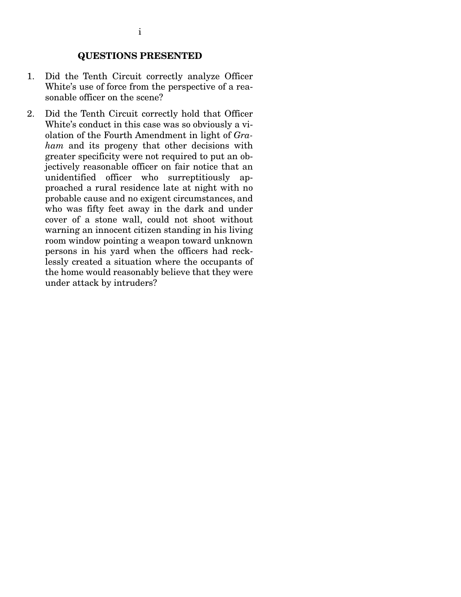- 1. Did the Tenth Circuit correctly analyze Officer White's use of force from the perspective of a reasonable officer on the scene?
- 2. Did the Tenth Circuit correctly hold that Officer White's conduct in this case was so obviously a violation of the Fourth Amendment in light of *Graham* and its progeny that other decisions with greater specificity were not required to put an objectively reasonable officer on fair notice that an unidentified officer who surreptitiously approached a rural residence late at night with no probable cause and no exigent circumstances, and who was fifty feet away in the dark and under cover of a stone wall, could not shoot without warning an innocent citizen standing in his living room window pointing a weapon toward unknown persons in his yard when the officers had recklessly created a situation where the occupants of the home would reasonably believe that they were under attack by intruders?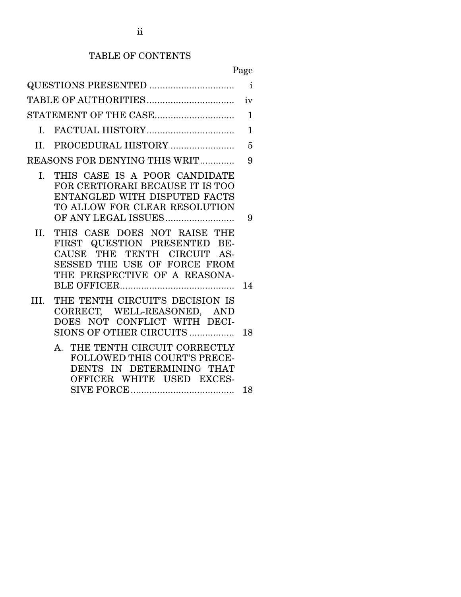# TABLE OF CONTENTS

# Page

|      |                                                                                                                                                              | $\mathbf{i}$ |
|------|--------------------------------------------------------------------------------------------------------------------------------------------------------------|--------------|
|      |                                                                                                                                                              | iv           |
|      |                                                                                                                                                              | $\mathbf{1}$ |
|      |                                                                                                                                                              | $\mathbf{1}$ |
|      |                                                                                                                                                              | 5            |
|      | REASONS FOR DENYING THIS WRIT                                                                                                                                | 9            |
| I.   | THIS CASE IS A POOR CANDIDATE<br>FOR CERTIORARI BECAUSE IT IS TOO<br>ENTANGLED WITH DISPUTED FACTS<br>TO ALLOW FOR CLEAR RESOLUTION<br>OF ANY LEGAL ISSUES   | 9            |
| II.  | THIS CASE DOES NOT RAISE THE<br>FIRST QUESTION PRESENTED BE-<br>CAUSE THE TENTH CIRCUIT AS-<br>SESSED THE USE OF FORCE FROM<br>THE PERSPECTIVE OF A REASONA- | 14           |
| III. | THE TENTH CIRCUIT'S DECISION IS<br>CORRECT, WELL-REASONED, AND<br>DOES NOT CONFLICT WITH DECI-<br>SIONS OF OTHER CIRCUITS                                    | 18           |
|      | THE TENTH CIRCUIT CORRECTLY<br>$A_{\cdot}$<br><b>FOLLOWED THIS COURT'S PRECE-</b><br>DENTS IN DETERMINING THAT<br>OFFICER WHITE USED EXCES-                  | 18           |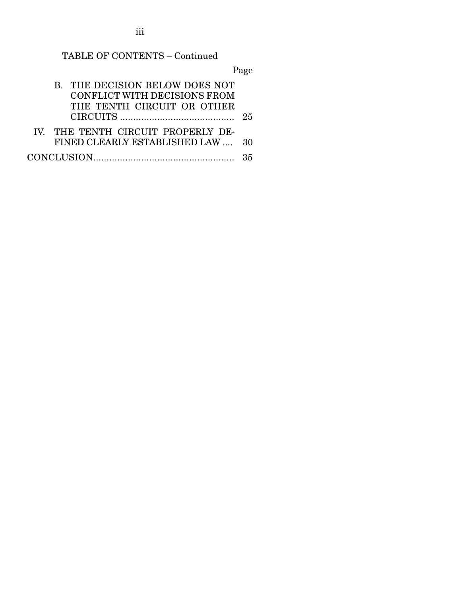TABLE OF CONTENTS – Continued

Page

| B. THE DECISION BELOW DOES NOT<br>CONFLICT WITH DECISIONS FROM<br>THE TENTH CIRCUIT OR OTHER | 25 |
|----------------------------------------------------------------------------------------------|----|
| IV. THE TENTH CIRCUIT PROPERLY DE-<br>FINED CLEARLY ESTABLISHED LAW  30                      |    |
|                                                                                              |    |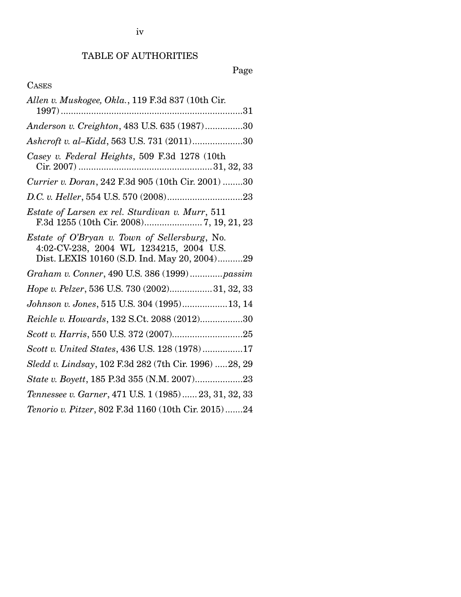# Page

## CASES

| Allen v. Muskogee, Okla., 119 F.3d 837 (10th Cir.                                                                                        |
|------------------------------------------------------------------------------------------------------------------------------------------|
| Anderson v. Creighton, 483 U.S. 635 (1987)30                                                                                             |
| Ashcroft v. al-Kidd, 563 U.S. 731 (2011)30                                                                                               |
| Casey v. Federal Heights, 509 F.3d 1278 (10th                                                                                            |
| Currier v. Doran, 242 F.3d 905 (10th Cir. 2001) 30                                                                                       |
|                                                                                                                                          |
| Estate of Larsen ex rel. Sturdivan v. Murr, 511                                                                                          |
| Estate of O'Bryan v. Town of Sellersburg, No.<br>4:02-CV-238, 2004 WL 1234215, 2004 U.S.<br>Dist. LEXIS 10160 (S.D. Ind. May 20, 2004)29 |
| Graham v. Conner, 490 U.S. 386 (1999)passim                                                                                              |
| Hope v. Pelzer, 536 U.S. 730 (2002)31, 32, 33                                                                                            |
| Johnson v. Jones, 515 U.S. 304 (1995)13, 14                                                                                              |
| Reichle v. Howards, 132 S.Ct. 2088 (2012)30                                                                                              |
|                                                                                                                                          |
| Scott v. United States, 436 U.S. 128 (1978)17                                                                                            |
| Sledd v. Lindsay, 102 F.3d 282 (7th Cir. 1996) 28, 29                                                                                    |
| State v. Boyett, 185 P.3d 355 (N.M. 2007)23                                                                                              |
| Tennessee v. Garner, 471 U.S. 1 (1985) 23, 31, 32, 33                                                                                    |
| Tenorio v. Pitzer, 802 F.3d 1160 (10th Cir. 2015)24                                                                                      |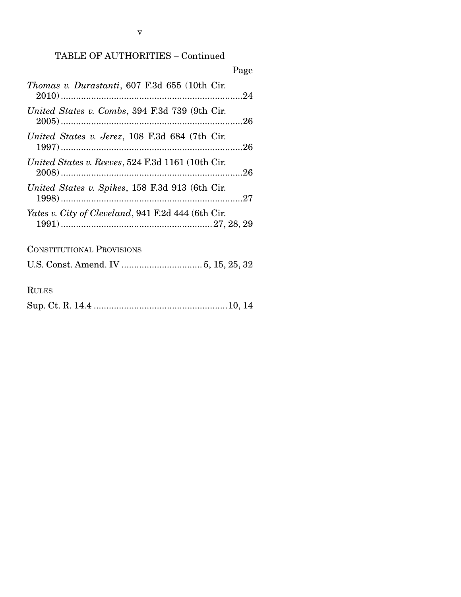## TABLE OF AUTHORITIES – Continued

|                                                       | Page |
|-------------------------------------------------------|------|
| <i>Thomas v. Durastanti</i> , 607 F.3d 655 (10th Cir. |      |
| United States v. Combs, 394 F.3d 739 (9th Cir.        |      |
| United States v. Jerez, 108 F.3d 684 (7th Cir.        |      |
| United States v. Reeves, 524 F.3d 1161 (10th Cir.     |      |
| United States v. Spikes, 158 F.3d 913 (6th Cir.       |      |
| Yates v. City of Cleveland, 941 F.2d 444 (6th Cir.    |      |
| <b>CONSTITUTIONAL PROVISIONS</b>                      |      |
|                                                       |      |
| <b>RULES</b>                                          |      |

|--|--|--|--|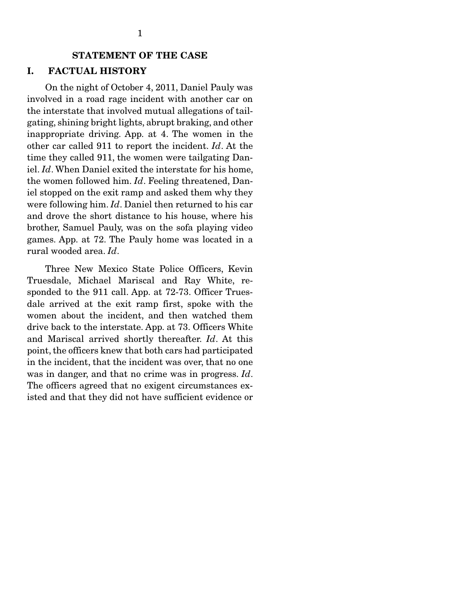#### STATEMENT OF THE CASE

#### I. FACTUAL HISTORY

 On the night of October 4, 2011, Daniel Pauly was involved in a road rage incident with another car on the interstate that involved mutual allegations of tailgating, shining bright lights, abrupt braking, and other inappropriate driving. App. at 4. The women in the other car called 911 to report the incident. *Id*. At the time they called 911, the women were tailgating Daniel. *Id*. When Daniel exited the interstate for his home, the women followed him. *Id*. Feeling threatened, Daniel stopped on the exit ramp and asked them why they were following him. *Id*. Daniel then returned to his car and drove the short distance to his house, where his brother, Samuel Pauly, was on the sofa playing video games. App. at 72. The Pauly home was located in a rural wooded area. *Id*.

 Three New Mexico State Police Officers, Kevin Truesdale, Michael Mariscal and Ray White, responded to the 911 call. App. at 72-73. Officer Truesdale arrived at the exit ramp first, spoke with the women about the incident, and then watched them drive back to the interstate. App. at 73. Officers White and Mariscal arrived shortly thereafter. *Id*. At this point, the officers knew that both cars had participated in the incident, that the incident was over, that no one was in danger, and that no crime was in progress. *Id*. The officers agreed that no exigent circumstances existed and that they did not have sufficient evidence or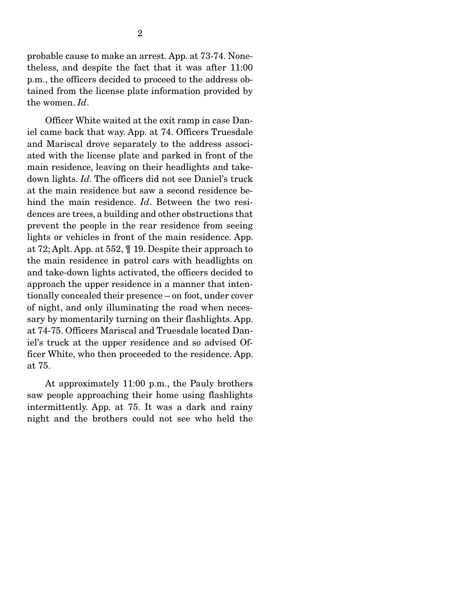probable cause to make an arrest. App. at 73-74. Nonetheless, and despite the fact that it was after 11:00 p.m., the officers decided to proceed to the address obtained from the license plate information provided by the women. *Id*.

 Officer White waited at the exit ramp in case Daniel came back that way. App. at 74. Officers Truesdale and Mariscal drove separately to the address associated with the license plate and parked in front of the main residence, leaving on their headlights and takedown lights. *Id*. The officers did not see Daniel's truck at the main residence but saw a second residence behind the main residence. *Id*. Between the two residences are trees, a building and other obstructions that prevent the people in the rear residence from seeing lights or vehicles in front of the main residence. App. at 72; Aplt. App. at 552, ¶ 19. Despite their approach to the main residence in patrol cars with headlights on and take-down lights activated, the officers decided to approach the upper residence in a manner that intentionally concealed their presence – on foot, under cover of night, and only illuminating the road when necessary by momentarily turning on their flashlights. App. at 74-75. Officers Mariscal and Truesdale located Daniel's truck at the upper residence and so advised Officer White, who then proceeded to the residence. App. at 75.

 At approximately 11:00 p.m., the Pauly brothers saw people approaching their home using flashlights intermittently. App. at 75. It was a dark and rainy night and the brothers could not see who held the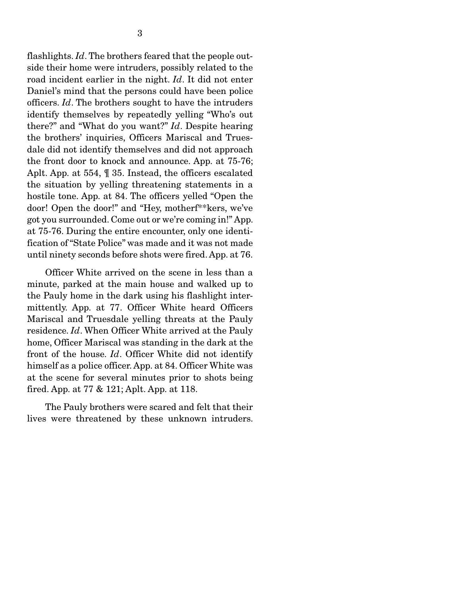flashlights. *Id*. The brothers feared that the people outside their home were intruders, possibly related to the road incident earlier in the night. *Id*. It did not enter Daniel's mind that the persons could have been police officers. *Id*. The brothers sought to have the intruders identify themselves by repeatedly yelling "Who's out there?" and "What do you want?" *Id*. Despite hearing the brothers' inquiries, Officers Mariscal and Truesdale did not identify themselves and did not approach the front door to knock and announce. App. at 75-76; Aplt. App. at 554, ¶ 35. Instead, the officers escalated the situation by yelling threatening statements in a hostile tone. App. at 84. The officers yelled "Open the door! Open the door!" and "Hey, motherf\*\*kers, we've got you surrounded. Come out or we're coming in!" App. at 75-76. During the entire encounter, only one identification of "State Police" was made and it was not made until ninety seconds before shots were fired. App. at 76.

 Officer White arrived on the scene in less than a minute, parked at the main house and walked up to the Pauly home in the dark using his flashlight intermittently. App. at 77. Officer White heard Officers Mariscal and Truesdale yelling threats at the Pauly residence. *Id*. When Officer White arrived at the Pauly home, Officer Mariscal was standing in the dark at the front of the house. *Id*. Officer White did not identify himself as a police officer. App. at 84. Officer White was at the scene for several minutes prior to shots being fired. App. at 77 & 121; Aplt. App. at 118.

 The Pauly brothers were scared and felt that their lives were threatened by these unknown intruders.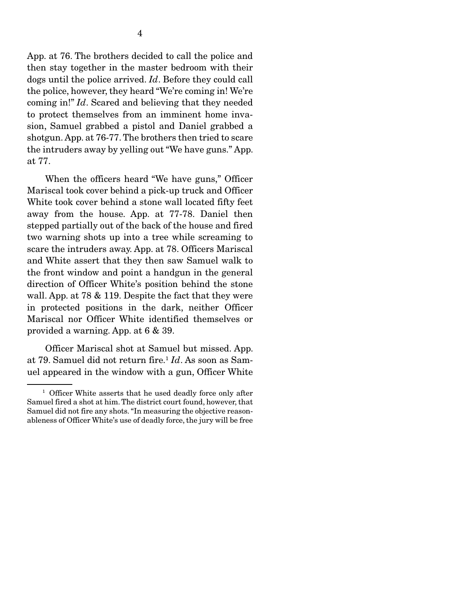App. at 76. The brothers decided to call the police and then stay together in the master bedroom with their dogs until the police arrived. *Id*. Before they could call the police, however, they heard "We're coming in! We're coming in!" *Id*. Scared and believing that they needed to protect themselves from an imminent home invasion, Samuel grabbed a pistol and Daniel grabbed a shotgun. App. at 76-77. The brothers then tried to scare the intruders away by yelling out "We have guns." App. at 77.

 When the officers heard "We have guns," Officer Mariscal took cover behind a pick-up truck and Officer White took cover behind a stone wall located fifty feet away from the house. App. at 77-78. Daniel then stepped partially out of the back of the house and fired two warning shots up into a tree while screaming to scare the intruders away. App. at 78. Officers Mariscal and White assert that they then saw Samuel walk to the front window and point a handgun in the general direction of Officer White's position behind the stone wall. App. at 78 & 119. Despite the fact that they were in protected positions in the dark, neither Officer Mariscal nor Officer White identified themselves or provided a warning. App. at 6 & 39.

 Officer Mariscal shot at Samuel but missed. App. at 79. Samuel did not return fire.<sup>1</sup> *Id*. As soon as Samuel appeared in the window with a gun, Officer White

<sup>&</sup>lt;sup>1</sup> Officer White asserts that he used deadly force only after Samuel fired a shot at him. The district court found, however, that Samuel did not fire any shots. "In measuring the objective reasonableness of Officer White's use of deadly force, the jury will be free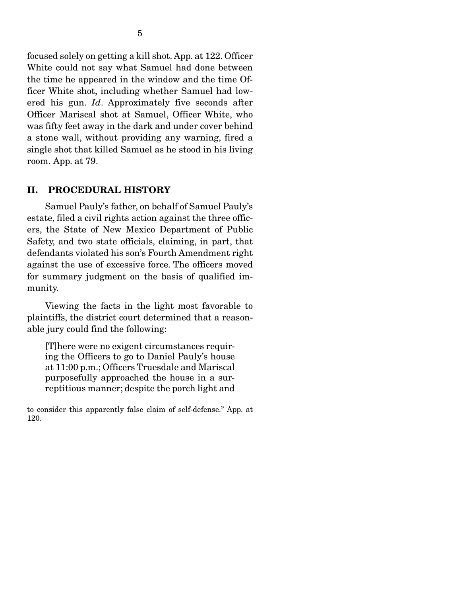focused solely on getting a kill shot. App. at 122. Officer White could not say what Samuel had done between the time he appeared in the window and the time Officer White shot, including whether Samuel had lowered his gun. *Id*. Approximately five seconds after Officer Mariscal shot at Samuel, Officer White, who was fifty feet away in the dark and under cover behind a stone wall, without providing any warning, fired a single shot that killed Samuel as he stood in his living room. App. at 79.

#### II. PROCEDURAL HISTORY

 Samuel Pauly's father, on behalf of Samuel Pauly's estate, filed a civil rights action against the three officers, the State of New Mexico Department of Public Safety, and two state officials, claiming, in part, that defendants violated his son's Fourth Amendment right against the use of excessive force. The officers moved for summary judgment on the basis of qualified immunity.

 Viewing the facts in the light most favorable to plaintiffs, the district court determined that a reasonable jury could find the following:

[T]here were no exigent circumstances requiring the Officers to go to Daniel Pauly's house at 11:00 p.m.; Officers Truesdale and Mariscal purposefully approached the house in a surreptitious manner; despite the porch light and

to consider this apparently false claim of self-defense." App. at 120.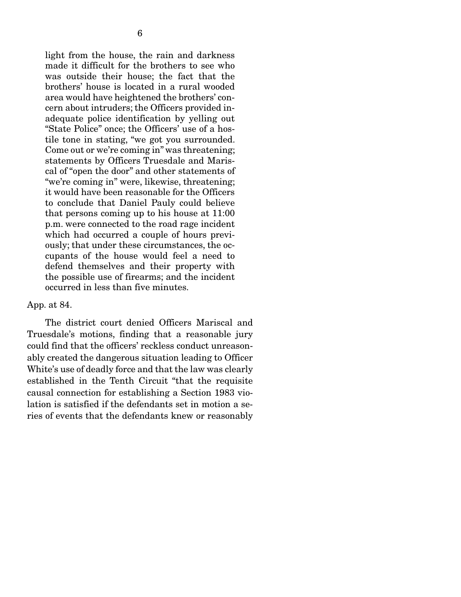light from the house, the rain and darkness made it difficult for the brothers to see who was outside their house; the fact that the brothers' house is located in a rural wooded area would have heightened the brothers' concern about intruders; the Officers provided inadequate police identification by yelling out "State Police" once; the Officers' use of a hostile tone in stating, "we got you surrounded. Come out or we're coming in" was threatening; statements by Officers Truesdale and Mariscal of "open the door" and other statements of "we're coming in" were, likewise, threatening; it would have been reasonable for the Officers to conclude that Daniel Pauly could believe that persons coming up to his house at 11:00 p.m. were connected to the road rage incident which had occurred a couple of hours previously; that under these circumstances, the occupants of the house would feel a need to defend themselves and their property with the possible use of firearms; and the incident occurred in less than five minutes.

#### App. at 84.

 The district court denied Officers Mariscal and Truesdale's motions, finding that a reasonable jury could find that the officers' reckless conduct unreasonably created the dangerous situation leading to Officer White's use of deadly force and that the law was clearly established in the Tenth Circuit "that the requisite causal connection for establishing a Section 1983 violation is satisfied if the defendants set in motion a series of events that the defendants knew or reasonably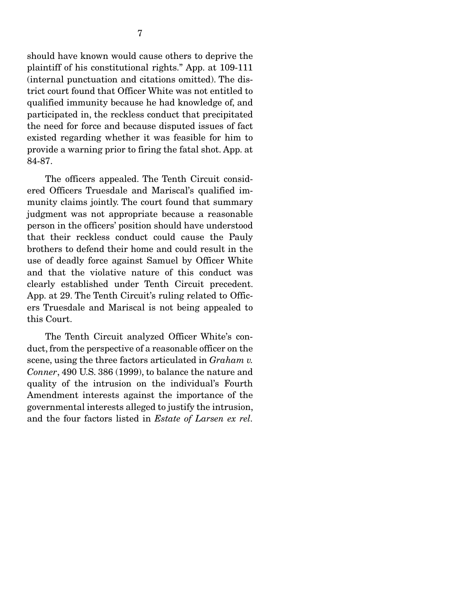should have known would cause others to deprive the plaintiff of his constitutional rights." App. at 109-111 (internal punctuation and citations omitted). The district court found that Officer White was not entitled to qualified immunity because he had knowledge of, and participated in, the reckless conduct that precipitated the need for force and because disputed issues of fact existed regarding whether it was feasible for him to provide a warning prior to firing the fatal shot. App. at 84-87.

 The officers appealed. The Tenth Circuit considered Officers Truesdale and Mariscal's qualified immunity claims jointly. The court found that summary judgment was not appropriate because a reasonable person in the officers' position should have understood that their reckless conduct could cause the Pauly brothers to defend their home and could result in the use of deadly force against Samuel by Officer White and that the violative nature of this conduct was clearly established under Tenth Circuit precedent. App. at 29. The Tenth Circuit's ruling related to Officers Truesdale and Mariscal is not being appealed to this Court.

 The Tenth Circuit analyzed Officer White's conduct, from the perspective of a reasonable officer on the scene, using the three factors articulated in *Graham v. Conner*, 490 U.S. 386 (1999), to balance the nature and quality of the intrusion on the individual's Fourth Amendment interests against the importance of the governmental interests alleged to justify the intrusion, and the four factors listed in *Estate of Larsen ex rel.*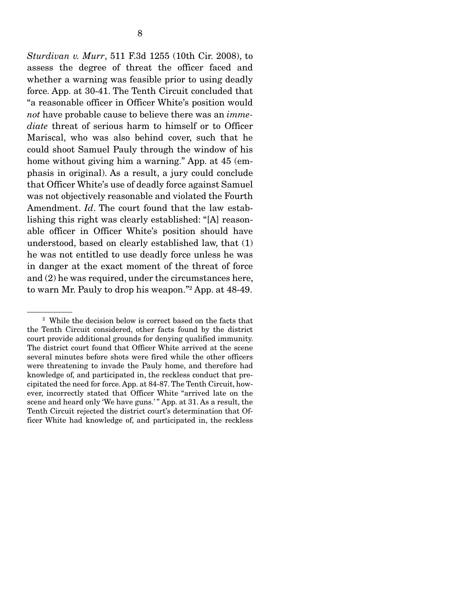*Sturdivan v. Murr*, 511 F.3d 1255 (10th Cir. 2008), to assess the degree of threat the officer faced and whether a warning was feasible prior to using deadly force. App. at 30-41. The Tenth Circuit concluded that "a reasonable officer in Officer White's position would *not* have probable cause to believe there was an *immediate* threat of serious harm to himself or to Officer Mariscal, who was also behind cover, such that he could shoot Samuel Pauly through the window of his home without giving him a warning." App. at 45 (emphasis in original). As a result, a jury could conclude that Officer White's use of deadly force against Samuel was not objectively reasonable and violated the Fourth Amendment. *Id*. The court found that the law establishing this right was clearly established: "[A] reasonable officer in Officer White's position should have understood, based on clearly established law, that (1) he was not entitled to use deadly force unless he was in danger at the exact moment of the threat of force and (2) he was required, under the circumstances here, to warn Mr. Pauly to drop his weapon."2 App. at 48-49.

<sup>&</sup>lt;sup>2</sup> While the decision below is correct based on the facts that the Tenth Circuit considered, other facts found by the district court provide additional grounds for denying qualified immunity. The district court found that Officer White arrived at the scene several minutes before shots were fired while the other officers were threatening to invade the Pauly home, and therefore had knowledge of, and participated in, the reckless conduct that precipitated the need for force. App. at 84-87. The Tenth Circuit, however, incorrectly stated that Officer White "arrived late on the scene and heard only 'We have guns.' " App. at 31. As a result, the Tenth Circuit rejected the district court's determination that Officer White had knowledge of, and participated in, the reckless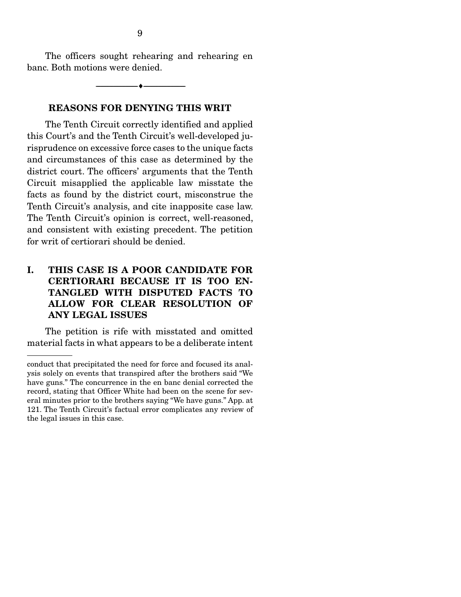The officers sought rehearing and rehearing en banc. Both motions were denied.

--------------------------------- ---------------------------------

#### REASONS FOR DENYING THIS WRIT

 The Tenth Circuit correctly identified and applied this Court's and the Tenth Circuit's well-developed jurisprudence on excessive force cases to the unique facts and circumstances of this case as determined by the district court. The officers' arguments that the Tenth Circuit misapplied the applicable law misstate the facts as found by the district court, misconstrue the Tenth Circuit's analysis, and cite inapposite case law. The Tenth Circuit's opinion is correct, well-reasoned, and consistent with existing precedent. The petition for writ of certiorari should be denied.

### I. THIS CASE IS A POOR CANDIDATE FOR CERTIORARI BECAUSE IT IS TOO EN-TANGLED WITH DISPUTED FACTS TO ALLOW FOR CLEAR RESOLUTION OF ANY LEGAL ISSUES

 The petition is rife with misstated and omitted material facts in what appears to be a deliberate intent

conduct that precipitated the need for force and focused its analysis solely on events that transpired after the brothers said "We have guns." The concurrence in the en banc denial corrected the record, stating that Officer White had been on the scene for several minutes prior to the brothers saying "We have guns." App. at 121. The Tenth Circuit's factual error complicates any review of the legal issues in this case.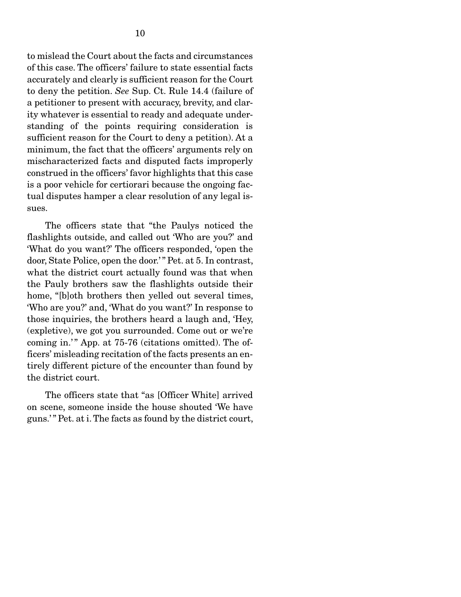to mislead the Court about the facts and circumstances of this case. The officers' failure to state essential facts accurately and clearly is sufficient reason for the Court to deny the petition. *See* Sup. Ct. Rule 14.4 (failure of a petitioner to present with accuracy, brevity, and clarity whatever is essential to ready and adequate understanding of the points requiring consideration is sufficient reason for the Court to deny a petition). At a minimum, the fact that the officers' arguments rely on mischaracterized facts and disputed facts improperly construed in the officers' favor highlights that this case is a poor vehicle for certiorari because the ongoing factual disputes hamper a clear resolution of any legal issues.

 The officers state that "the Paulys noticed the flashlights outside, and called out 'Who are you?' and 'What do you want?' The officers responded, 'open the door, State Police, open the door.' " Pet. at 5. In contrast, what the district court actually found was that when the Pauly brothers saw the flashlights outside their home, "[b]oth brothers then yelled out several times, 'Who are you?' and, 'What do you want?' In response to those inquiries, the brothers heard a laugh and, 'Hey, (expletive), we got you surrounded. Come out or we're coming in.'" App. at 75-76 (citations omitted). The officers' misleading recitation of the facts presents an entirely different picture of the encounter than found by the district court.

 The officers state that "as [Officer White] arrived on scene, someone inside the house shouted 'We have guns.' " Pet. at i. The facts as found by the district court,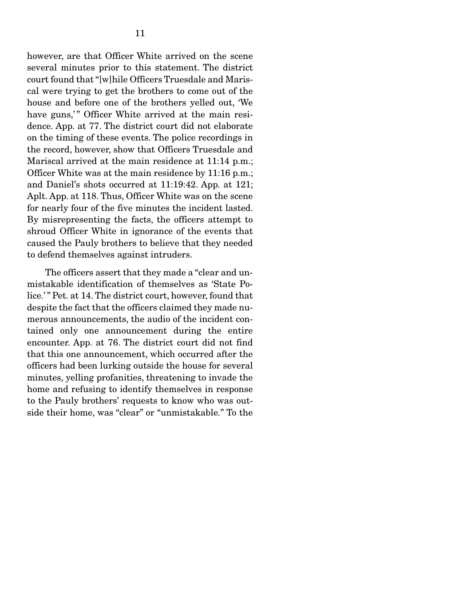however, are that Officer White arrived on the scene several minutes prior to this statement. The district court found that "[w]hile Officers Truesdale and Mariscal were trying to get the brothers to come out of the house and before one of the brothers yelled out, 'We have guns," Officer White arrived at the main residence. App. at 77. The district court did not elaborate on the timing of these events. The police recordings in the record, however, show that Officers Truesdale and Mariscal arrived at the main residence at 11:14 p.m.; Officer White was at the main residence by 11:16 p.m.; and Daniel's shots occurred at 11:19:42. App. at 121; Aplt. App. at 118. Thus, Officer White was on the scene for nearly four of the five minutes the incident lasted. By misrepresenting the facts, the officers attempt to shroud Officer White in ignorance of the events that caused the Pauly brothers to believe that they needed to defend themselves against intruders.

 The officers assert that they made a "clear and unmistakable identification of themselves as 'State Police.'" Pet. at 14. The district court, however, found that despite the fact that the officers claimed they made numerous announcements, the audio of the incident contained only one announcement during the entire encounter. App. at 76. The district court did not find that this one announcement, which occurred after the officers had been lurking outside the house for several minutes, yelling profanities, threatening to invade the home and refusing to identify themselves in response to the Pauly brothers' requests to know who was outside their home, was "clear" or "unmistakable." To the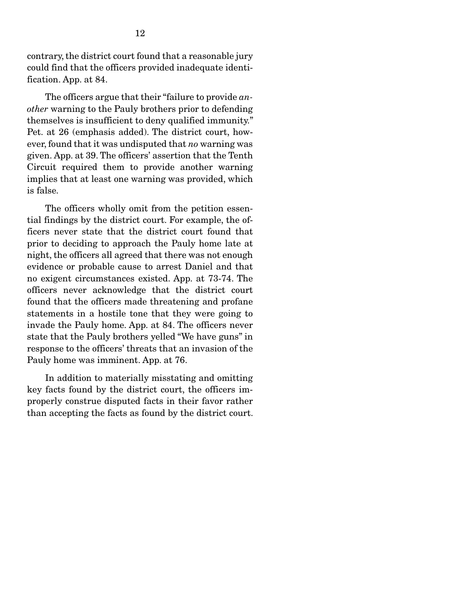contrary, the district court found that a reasonable jury could find that the officers provided inadequate identification. App. at 84.

 The officers argue that their "failure to provide *another* warning to the Pauly brothers prior to defending themselves is insufficient to deny qualified immunity." Pet. at 26 (emphasis added). The district court, however, found that it was undisputed that *no* warning was given. App. at 39. The officers' assertion that the Tenth Circuit required them to provide another warning implies that at least one warning was provided, which is false.

 The officers wholly omit from the petition essential findings by the district court. For example, the officers never state that the district court found that prior to deciding to approach the Pauly home late at night, the officers all agreed that there was not enough evidence or probable cause to arrest Daniel and that no exigent circumstances existed. App. at 73-74. The officers never acknowledge that the district court found that the officers made threatening and profane statements in a hostile tone that they were going to invade the Pauly home. App. at 84. The officers never state that the Pauly brothers yelled "We have guns" in response to the officers' threats that an invasion of the Pauly home was imminent. App. at 76.

 In addition to materially misstating and omitting key facts found by the district court, the officers improperly construe disputed facts in their favor rather than accepting the facts as found by the district court.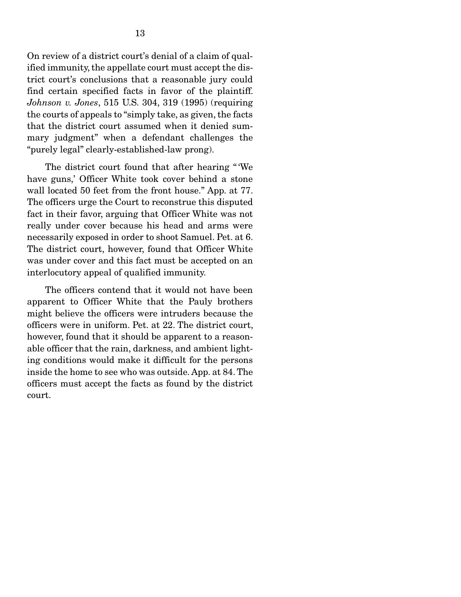On review of a district court's denial of a claim of qualified immunity, the appellate court must accept the district court's conclusions that a reasonable jury could find certain specified facts in favor of the plaintiff. *Johnson v. Jones*, 515 U.S. 304, 319 (1995) (requiring the courts of appeals to "simply take, as given, the facts that the district court assumed when it denied summary judgment" when a defendant challenges the "purely legal" clearly-established-law prong).

 The district court found that after hearing " 'We have guns,' Officer White took cover behind a stone wall located 50 feet from the front house." App. at 77. The officers urge the Court to reconstrue this disputed fact in their favor, arguing that Officer White was not really under cover because his head and arms were necessarily exposed in order to shoot Samuel. Pet. at 6. The district court, however, found that Officer White was under cover and this fact must be accepted on an interlocutory appeal of qualified immunity.

 The officers contend that it would not have been apparent to Officer White that the Pauly brothers might believe the officers were intruders because the officers were in uniform. Pet. at 22. The district court, however, found that it should be apparent to a reasonable officer that the rain, darkness, and ambient lighting conditions would make it difficult for the persons inside the home to see who was outside. App. at 84. The officers must accept the facts as found by the district court.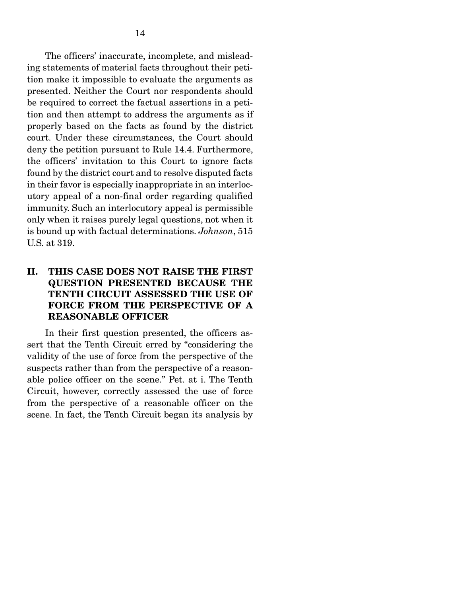The officers' inaccurate, incomplete, and misleading statements of material facts throughout their petition make it impossible to evaluate the arguments as presented. Neither the Court nor respondents should be required to correct the factual assertions in a petition and then attempt to address the arguments as if properly based on the facts as found by the district court. Under these circumstances, the Court should deny the petition pursuant to Rule 14.4. Furthermore, the officers' invitation to this Court to ignore facts found by the district court and to resolve disputed facts in their favor is especially inappropriate in an interlocutory appeal of a non-final order regarding qualified immunity. Such an interlocutory appeal is permissible only when it raises purely legal questions, not when it is bound up with factual determinations. *Johnson*, 515 U.S. at 319.

### II. THIS CASE DOES NOT RAISE THE FIRST QUESTION PRESENTED BECAUSE THE TENTH CIRCUIT ASSESSED THE USE OF FORCE FROM THE PERSPECTIVE OF A REASONABLE OFFICER

 In their first question presented, the officers assert that the Tenth Circuit erred by "considering the validity of the use of force from the perspective of the suspects rather than from the perspective of a reasonable police officer on the scene." Pet. at i. The Tenth Circuit, however, correctly assessed the use of force from the perspective of a reasonable officer on the scene. In fact, the Tenth Circuit began its analysis by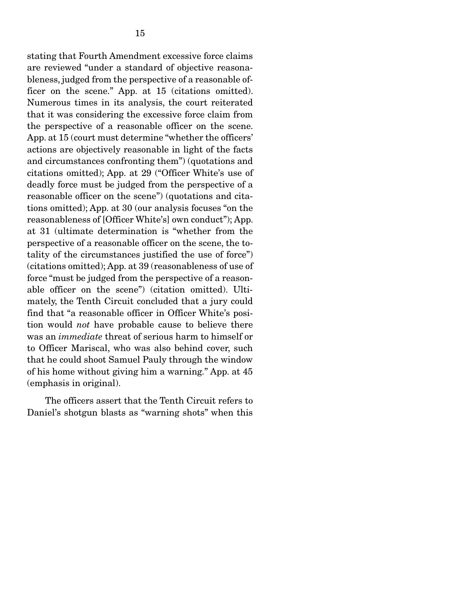stating that Fourth Amendment excessive force claims are reviewed "under a standard of objective reasonableness, judged from the perspective of a reasonable officer on the scene." App. at 15 (citations omitted). Numerous times in its analysis, the court reiterated that it was considering the excessive force claim from the perspective of a reasonable officer on the scene. App. at 15 (court must determine "whether the officers' actions are objectively reasonable in light of the facts and circumstances confronting them") (quotations and citations omitted); App. at 29 ("Officer White's use of deadly force must be judged from the perspective of a reasonable officer on the scene") (quotations and citations omitted); App. at 30 (our analysis focuses "on the reasonableness of [Officer White's] own conduct"); App. at 31 (ultimate determination is "whether from the perspective of a reasonable officer on the scene, the totality of the circumstances justified the use of force") (citations omitted); App. at 39 (reasonableness of use of force "must be judged from the perspective of a reasonable officer on the scene") (citation omitted). Ultimately, the Tenth Circuit concluded that a jury could find that "a reasonable officer in Officer White's position would *not* have probable cause to believe there was an *immediate* threat of serious harm to himself or to Officer Mariscal, who was also behind cover, such that he could shoot Samuel Pauly through the window of his home without giving him a warning." App. at 45 (emphasis in original).

 The officers assert that the Tenth Circuit refers to Daniel's shotgun blasts as "warning shots" when this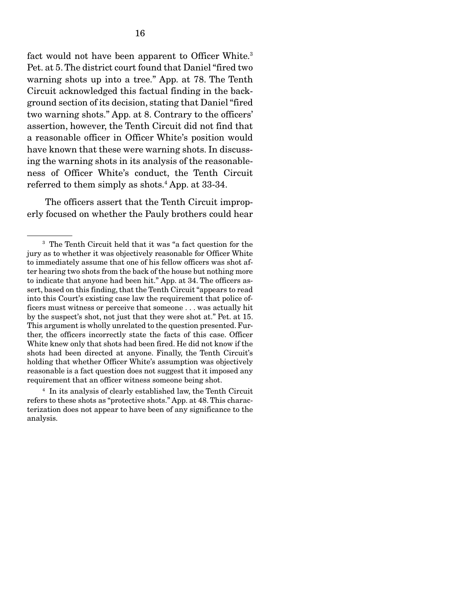fact would not have been apparent to Officer White.<sup>3</sup> Pet. at 5. The district court found that Daniel "fired two warning shots up into a tree." App. at 78. The Tenth Circuit acknowledged this factual finding in the background section of its decision, stating that Daniel "fired two warning shots." App. at 8. Contrary to the officers' assertion, however, the Tenth Circuit did not find that a reasonable officer in Officer White's position would have known that these were warning shots. In discussing the warning shots in its analysis of the reasonableness of Officer White's conduct, the Tenth Circuit referred to them simply as shots.<sup>4</sup> App. at 33-34.

 The officers assert that the Tenth Circuit improperly focused on whether the Pauly brothers could hear

4 In its analysis of clearly established law, the Tenth Circuit refers to these shots as "protective shots." App. at 48. This characterization does not appear to have been of any significance to the analysis.

<sup>&</sup>lt;sup>3</sup> The Tenth Circuit held that it was "a fact question for the jury as to whether it was objectively reasonable for Officer White to immediately assume that one of his fellow officers was shot after hearing two shots from the back of the house but nothing more to indicate that anyone had been hit." App. at 34. The officers assert, based on this finding, that the Tenth Circuit "appears to read into this Court's existing case law the requirement that police officers must witness or perceive that someone . . . was actually hit by the suspect's shot, not just that they were shot at." Pet. at 15. This argument is wholly unrelated to the question presented. Further, the officers incorrectly state the facts of this case. Officer White knew only that shots had been fired. He did not know if the shots had been directed at anyone. Finally, the Tenth Circuit's holding that whether Officer White's assumption was objectively reasonable is a fact question does not suggest that it imposed any requirement that an officer witness someone being shot.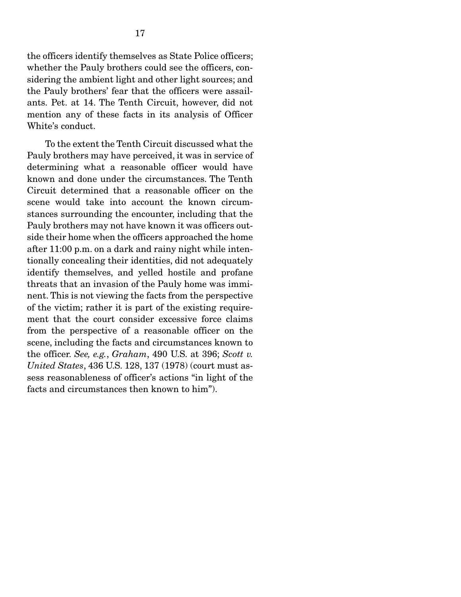the officers identify themselves as State Police officers; whether the Pauly brothers could see the officers, considering the ambient light and other light sources; and the Pauly brothers' fear that the officers were assailants. Pet. at 14. The Tenth Circuit, however, did not mention any of these facts in its analysis of Officer White's conduct.

 To the extent the Tenth Circuit discussed what the Pauly brothers may have perceived, it was in service of determining what a reasonable officer would have known and done under the circumstances. The Tenth Circuit determined that a reasonable officer on the scene would take into account the known circumstances surrounding the encounter, including that the Pauly brothers may not have known it was officers outside their home when the officers approached the home after 11:00 p.m. on a dark and rainy night while intentionally concealing their identities, did not adequately identify themselves, and yelled hostile and profane threats that an invasion of the Pauly home was imminent. This is not viewing the facts from the perspective of the victim; rather it is part of the existing requirement that the court consider excessive force claims from the perspective of a reasonable officer on the scene, including the facts and circumstances known to the officer. *See, e.g.*, *Graham*, 490 U.S. at 396; *Scott v. United States*, 436 U.S. 128, 137 (1978) (court must assess reasonableness of officer's actions "in light of the facts and circumstances then known to him").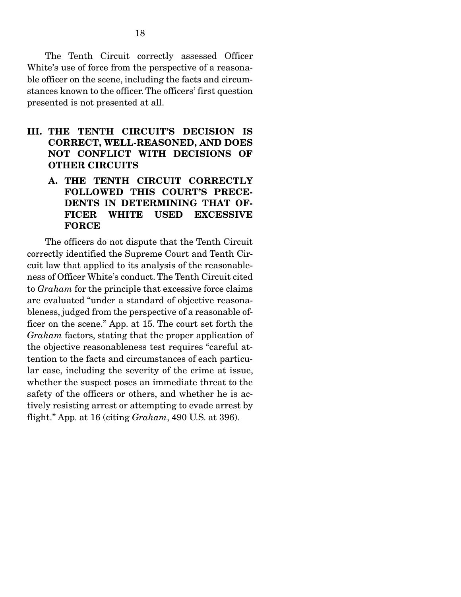The Tenth Circuit correctly assessed Officer White's use of force from the perspective of a reasonable officer on the scene, including the facts and circumstances known to the officer. The officers' first question presented is not presented at all.

- III. THE TENTH CIRCUIT'S DECISION IS CORRECT, WELL-REASONED, AND DOES NOT CONFLICT WITH DECISIONS OF OTHER CIRCUITS
	- A. THE TENTH CIRCUIT CORRECTLY FOLLOWED THIS COURT'S PRECE-DENTS IN DETERMINING THAT OF-FICER WHITE USED EXCESSIVE FORCE

 The officers do not dispute that the Tenth Circuit correctly identified the Supreme Court and Tenth Circuit law that applied to its analysis of the reasonableness of Officer White's conduct. The Tenth Circuit cited to *Graham* for the principle that excessive force claims are evaluated "under a standard of objective reasonableness, judged from the perspective of a reasonable officer on the scene." App. at 15. The court set forth the *Graham* factors, stating that the proper application of the objective reasonableness test requires "careful attention to the facts and circumstances of each particular case, including the severity of the crime at issue, whether the suspect poses an immediate threat to the safety of the officers or others, and whether he is actively resisting arrest or attempting to evade arrest by flight." App. at 16 (citing *Graham*, 490 U.S. at 396).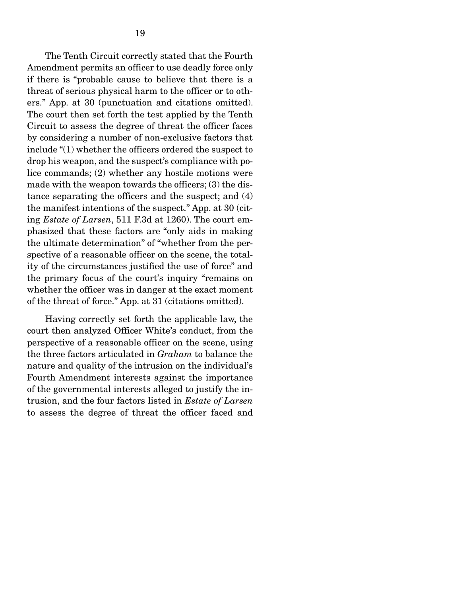The Tenth Circuit correctly stated that the Fourth Amendment permits an officer to use deadly force only if there is "probable cause to believe that there is a threat of serious physical harm to the officer or to others." App. at 30 (punctuation and citations omitted). The court then set forth the test applied by the Tenth Circuit to assess the degree of threat the officer faces by considering a number of non-exclusive factors that include "(1) whether the officers ordered the suspect to drop his weapon, and the suspect's compliance with police commands; (2) whether any hostile motions were made with the weapon towards the officers; (3) the distance separating the officers and the suspect; and (4) the manifest intentions of the suspect." App. at 30 (citing *Estate of Larsen*, 511 F.3d at 1260). The court emphasized that these factors are "only aids in making the ultimate determination" of "whether from the perspective of a reasonable officer on the scene, the totality of the circumstances justified the use of force" and the primary focus of the court's inquiry "remains on whether the officer was in danger at the exact moment of the threat of force." App. at 31 (citations omitted).

 Having correctly set forth the applicable law, the court then analyzed Officer White's conduct, from the perspective of a reasonable officer on the scene, using the three factors articulated in *Graham* to balance the nature and quality of the intrusion on the individual's Fourth Amendment interests against the importance of the governmental interests alleged to justify the intrusion, and the four factors listed in *Estate of Larsen* to assess the degree of threat the officer faced and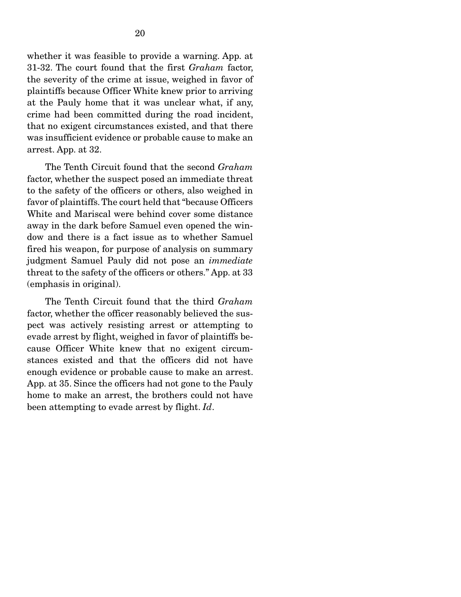whether it was feasible to provide a warning. App. at 31-32. The court found that the first *Graham* factor, the severity of the crime at issue, weighed in favor of plaintiffs because Officer White knew prior to arriving at the Pauly home that it was unclear what, if any, crime had been committed during the road incident, that no exigent circumstances existed, and that there was insufficient evidence or probable cause to make an arrest. App. at 32.

 The Tenth Circuit found that the second *Graham* factor, whether the suspect posed an immediate threat to the safety of the officers or others, also weighed in favor of plaintiffs. The court held that "because Officers White and Mariscal were behind cover some distance away in the dark before Samuel even opened the window and there is a fact issue as to whether Samuel fired his weapon, for purpose of analysis on summary judgment Samuel Pauly did not pose an *immediate* threat to the safety of the officers or others." App. at 33 (emphasis in original).

 The Tenth Circuit found that the third *Graham* factor, whether the officer reasonably believed the suspect was actively resisting arrest or attempting to evade arrest by flight, weighed in favor of plaintiffs because Officer White knew that no exigent circumstances existed and that the officers did not have enough evidence or probable cause to make an arrest. App. at 35. Since the officers had not gone to the Pauly home to make an arrest, the brothers could not have been attempting to evade arrest by flight. *Id*.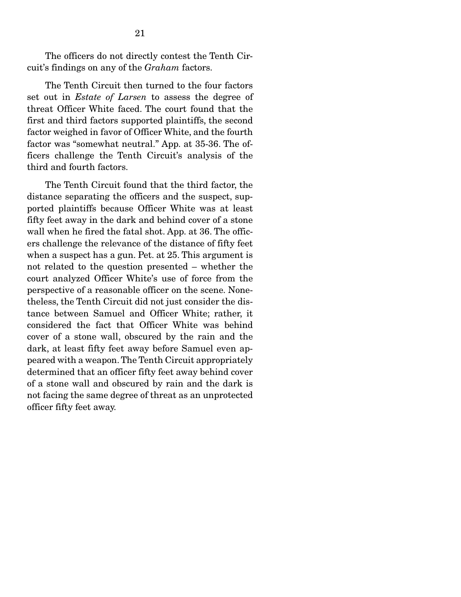The officers do not directly contest the Tenth Circuit's findings on any of the *Graham* factors.

 The Tenth Circuit then turned to the four factors set out in *Estate of Larsen* to assess the degree of threat Officer White faced. The court found that the first and third factors supported plaintiffs, the second factor weighed in favor of Officer White, and the fourth factor was "somewhat neutral." App. at 35-36. The officers challenge the Tenth Circuit's analysis of the third and fourth factors.

 The Tenth Circuit found that the third factor, the distance separating the officers and the suspect, supported plaintiffs because Officer White was at least fifty feet away in the dark and behind cover of a stone wall when he fired the fatal shot. App. at 36. The officers challenge the relevance of the distance of fifty feet when a suspect has a gun. Pet. at 25. This argument is not related to the question presented – whether the court analyzed Officer White's use of force from the perspective of a reasonable officer on the scene. Nonetheless, the Tenth Circuit did not just consider the distance between Samuel and Officer White; rather, it considered the fact that Officer White was behind cover of a stone wall, obscured by the rain and the dark, at least fifty feet away before Samuel even appeared with a weapon. The Tenth Circuit appropriately determined that an officer fifty feet away behind cover of a stone wall and obscured by rain and the dark is not facing the same degree of threat as an unprotected officer fifty feet away.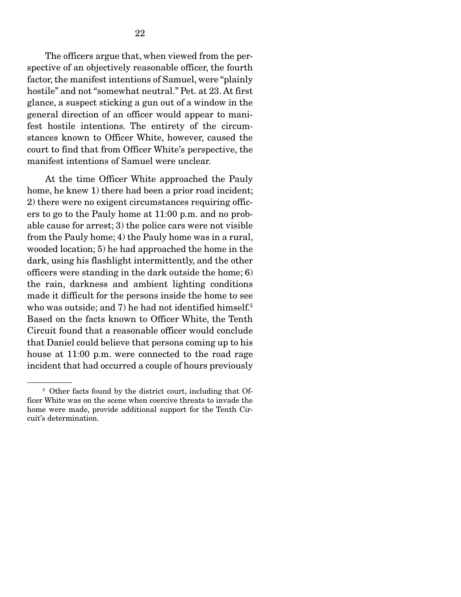The officers argue that, when viewed from the perspective of an objectively reasonable officer, the fourth factor, the manifest intentions of Samuel, were "plainly hostile" and not "somewhat neutral." Pet. at 23. At first glance, a suspect sticking a gun out of a window in the general direction of an officer would appear to manifest hostile intentions. The entirety of the circumstances known to Officer White, however, caused the court to find that from Officer White's perspective, the manifest intentions of Samuel were unclear.

 At the time Officer White approached the Pauly home, he knew 1) there had been a prior road incident; 2) there were no exigent circumstances requiring officers to go to the Pauly home at 11:00 p.m. and no probable cause for arrest; 3) the police cars were not visible from the Pauly home; 4) the Pauly home was in a rural, wooded location; 5) he had approached the home in the dark, using his flashlight intermittently, and the other officers were standing in the dark outside the home; 6) the rain, darkness and ambient lighting conditions made it difficult for the persons inside the home to see who was outside; and 7) he had not identified himself.<sup>5</sup> Based on the facts known to Officer White, the Tenth Circuit found that a reasonable officer would conclude that Daniel could believe that persons coming up to his house at 11:00 p.m. were connected to the road rage incident that had occurred a couple of hours previously

<sup>&</sup>lt;sup>5</sup> Other facts found by the district court, including that Officer White was on the scene when coercive threats to invade the home were made, provide additional support for the Tenth Circuit's determination.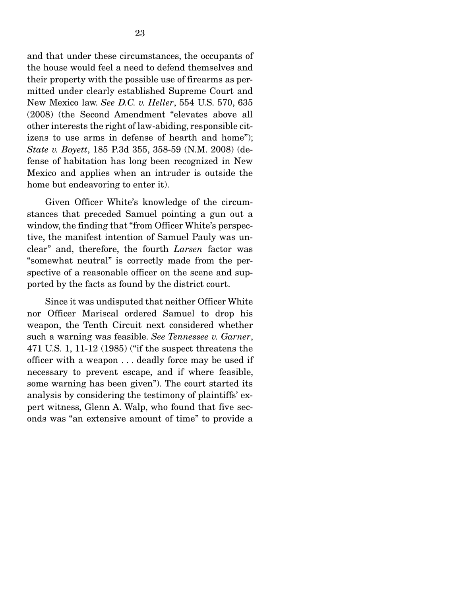and that under these circumstances, the occupants of the house would feel a need to defend themselves and their property with the possible use of firearms as permitted under clearly established Supreme Court and New Mexico law. *See D.C. v. Heller*, 554 U.S. 570, 635 (2008) (the Second Amendment "elevates above all other interests the right of law-abiding, responsible citizens to use arms in defense of hearth and home"); *State v. Boyett*, 185 P.3d 355, 358-59 (N.M. 2008) (defense of habitation has long been recognized in New Mexico and applies when an intruder is outside the home but endeavoring to enter it).

 Given Officer White's knowledge of the circumstances that preceded Samuel pointing a gun out a window, the finding that "from Officer White's perspective, the manifest intention of Samuel Pauly was unclear" and, therefore, the fourth *Larsen* factor was "somewhat neutral" is correctly made from the perspective of a reasonable officer on the scene and supported by the facts as found by the district court.

 Since it was undisputed that neither Officer White nor Officer Mariscal ordered Samuel to drop his weapon, the Tenth Circuit next considered whether such a warning was feasible. *See Tennessee v. Garner*, 471 U.S. 1, 11-12 (1985) ("if the suspect threatens the officer with a weapon . . . deadly force may be used if necessary to prevent escape, and if where feasible, some warning has been given"). The court started its analysis by considering the testimony of plaintiffs' expert witness, Glenn A. Walp, who found that five seconds was "an extensive amount of time" to provide a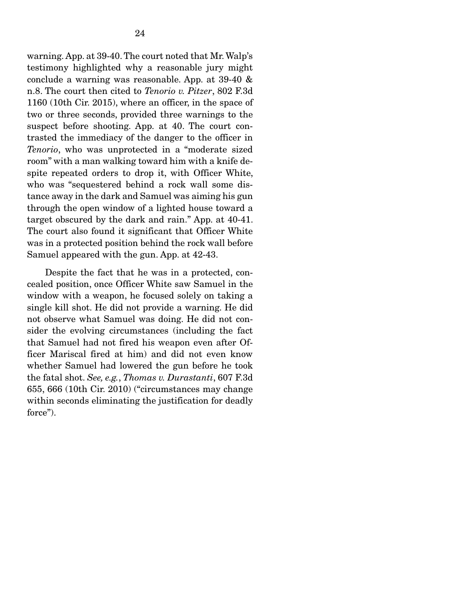warning. App. at 39-40. The court noted that Mr. Walp's testimony highlighted why a reasonable jury might conclude a warning was reasonable. App. at 39-40 & n.8. The court then cited to *Tenorio v. Pitzer*, 802 F.3d 1160 (10th Cir. 2015), where an officer, in the space of two or three seconds, provided three warnings to the suspect before shooting. App. at 40. The court contrasted the immediacy of the danger to the officer in *Tenorio*, who was unprotected in a "moderate sized room" with a man walking toward him with a knife despite repeated orders to drop it, with Officer White, who was "sequestered behind a rock wall some distance away in the dark and Samuel was aiming his gun through the open window of a lighted house toward a target obscured by the dark and rain." App. at 40-41. The court also found it significant that Officer White was in a protected position behind the rock wall before Samuel appeared with the gun. App. at 42-43.

 Despite the fact that he was in a protected, concealed position, once Officer White saw Samuel in the window with a weapon, he focused solely on taking a single kill shot. He did not provide a warning. He did not observe what Samuel was doing. He did not consider the evolving circumstances (including the fact that Samuel had not fired his weapon even after Officer Mariscal fired at him) and did not even know whether Samuel had lowered the gun before he took the fatal shot. *See, e.g.*, *Thomas v. Durastanti*, 607 F.3d 655, 666 (10th Cir. 2010) ("circumstances may change within seconds eliminating the justification for deadly force").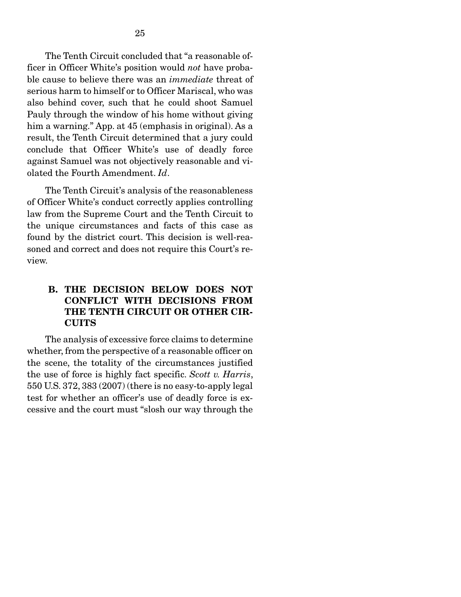The Tenth Circuit concluded that "a reasonable officer in Officer White's position would *not* have probable cause to believe there was an *immediate* threat of serious harm to himself or to Officer Mariscal, who was also behind cover, such that he could shoot Samuel Pauly through the window of his home without giving him a warning." App. at 45 (emphasis in original). As a result, the Tenth Circuit determined that a jury could conclude that Officer White's use of deadly force against Samuel was not objectively reasonable and violated the Fourth Amendment. *Id*.

 The Tenth Circuit's analysis of the reasonableness of Officer White's conduct correctly applies controlling law from the Supreme Court and the Tenth Circuit to the unique circumstances and facts of this case as found by the district court. This decision is well-reasoned and correct and does not require this Court's review.

### B. THE DECISION BELOW DOES NOT CONFLICT WITH DECISIONS FROM THE TENTH CIRCUIT OR OTHER CIR-CUITS

 The analysis of excessive force claims to determine whether, from the perspective of a reasonable officer on the scene, the totality of the circumstances justified the use of force is highly fact specific. *Scott v. Harris*, 550 U.S. 372, 383 (2007) (there is no easy-to-apply legal test for whether an officer's use of deadly force is excessive and the court must "slosh our way through the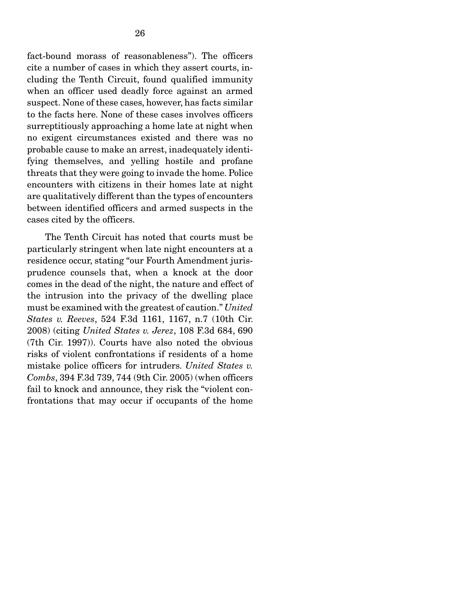fact-bound morass of reasonableness"). The officers cite a number of cases in which they assert courts, including the Tenth Circuit, found qualified immunity when an officer used deadly force against an armed suspect. None of these cases, however, has facts similar to the facts here. None of these cases involves officers surreptitiously approaching a home late at night when no exigent circumstances existed and there was no probable cause to make an arrest, inadequately identifying themselves, and yelling hostile and profane threats that they were going to invade the home. Police encounters with citizens in their homes late at night are qualitatively different than the types of encounters between identified officers and armed suspects in the cases cited by the officers.

 The Tenth Circuit has noted that courts must be particularly stringent when late night encounters at a residence occur, stating "our Fourth Amendment jurisprudence counsels that, when a knock at the door comes in the dead of the night, the nature and effect of the intrusion into the privacy of the dwelling place must be examined with the greatest of caution." *United States v. Reeves*, 524 F.3d 1161, 1167, n.7 (10th Cir. 2008) (citing *United States v. Jerez*, 108 F.3d 684, 690 (7th Cir. 1997)). Courts have also noted the obvious risks of violent confrontations if residents of a home mistake police officers for intruders. *United States v. Combs*, 394 F.3d 739, 744 (9th Cir. 2005) (when officers fail to knock and announce, they risk the "violent confrontations that may occur if occupants of the home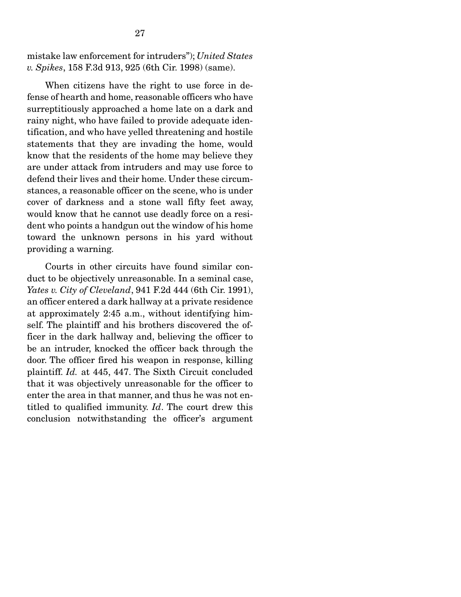mistake law enforcement for intruders"); *United States v. Spikes*, 158 F.3d 913, 925 (6th Cir. 1998) (same).

 When citizens have the right to use force in defense of hearth and home, reasonable officers who have surreptitiously approached a home late on a dark and rainy night, who have failed to provide adequate identification, and who have yelled threatening and hostile statements that they are invading the home, would know that the residents of the home may believe they are under attack from intruders and may use force to defend their lives and their home. Under these circumstances, a reasonable officer on the scene, who is under cover of darkness and a stone wall fifty feet away, would know that he cannot use deadly force on a resident who points a handgun out the window of his home toward the unknown persons in his yard without providing a warning.

 Courts in other circuits have found similar conduct to be objectively unreasonable. In a seminal case, *Yates v. City of Cleveland*, 941 F.2d 444 (6th Cir. 1991), an officer entered a dark hallway at a private residence at approximately 2:45 a.m., without identifying himself. The plaintiff and his brothers discovered the officer in the dark hallway and, believing the officer to be an intruder, knocked the officer back through the door. The officer fired his weapon in response, killing plaintiff. *Id.* at 445, 447. The Sixth Circuit concluded that it was objectively unreasonable for the officer to enter the area in that manner, and thus he was not entitled to qualified immunity. *Id*. The court drew this conclusion notwithstanding the officer's argument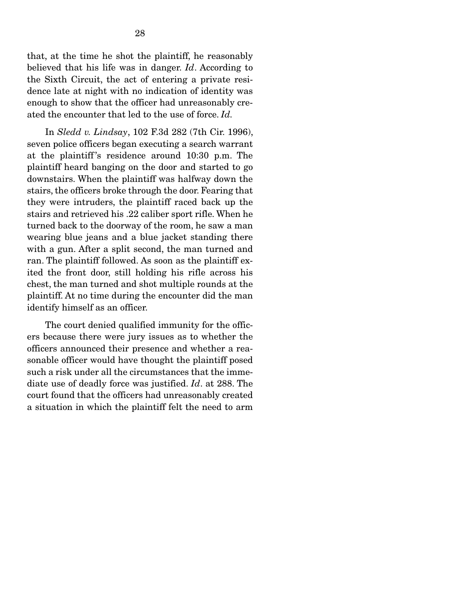that, at the time he shot the plaintiff, he reasonably believed that his life was in danger. *Id*. According to the Sixth Circuit, the act of entering a private residence late at night with no indication of identity was enough to show that the officer had unreasonably created the encounter that led to the use of force. *Id.*

 In *Sledd v. Lindsay*, 102 F.3d 282 (7th Cir. 1996), seven police officers began executing a search warrant at the plaintiff 's residence around 10:30 p.m. The plaintiff heard banging on the door and started to go downstairs. When the plaintiff was halfway down the stairs, the officers broke through the door. Fearing that they were intruders, the plaintiff raced back up the stairs and retrieved his .22 caliber sport rifle. When he turned back to the doorway of the room, he saw a man wearing blue jeans and a blue jacket standing there with a gun. After a split second, the man turned and ran. The plaintiff followed. As soon as the plaintiff exited the front door, still holding his rifle across his chest, the man turned and shot multiple rounds at the plaintiff. At no time during the encounter did the man identify himself as an officer.

 The court denied qualified immunity for the officers because there were jury issues as to whether the officers announced their presence and whether a reasonable officer would have thought the plaintiff posed such a risk under all the circumstances that the immediate use of deadly force was justified. *Id*. at 288. The court found that the officers had unreasonably created a situation in which the plaintiff felt the need to arm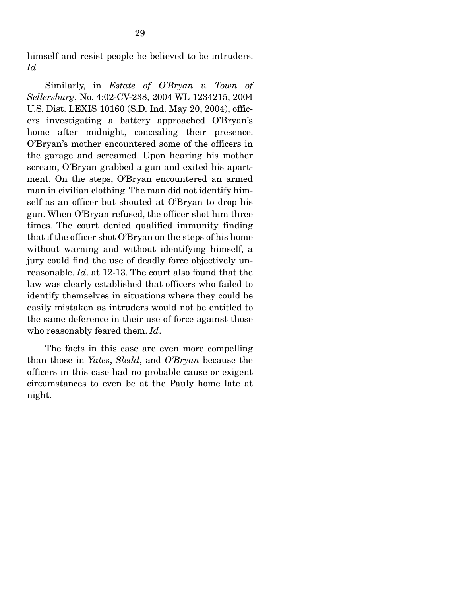himself and resist people he believed to be intruders. *Id.*

 Similarly, in *Estate of O'Bryan v. Town of Sellersburg*, No. 4:02-CV-238, 2004 WL 1234215, 2004 U.S. Dist. LEXIS 10160 (S.D. Ind. May 20, 2004), officers investigating a battery approached O'Bryan's home after midnight, concealing their presence. O'Bryan's mother encountered some of the officers in the garage and screamed. Upon hearing his mother scream, O'Bryan grabbed a gun and exited his apartment. On the steps, O'Bryan encountered an armed man in civilian clothing. The man did not identify himself as an officer but shouted at O'Bryan to drop his gun. When O'Bryan refused, the officer shot him three times. The court denied qualified immunity finding that if the officer shot O'Bryan on the steps of his home without warning and without identifying himself, a jury could find the use of deadly force objectively unreasonable. *Id*. at 12-13. The court also found that the law was clearly established that officers who failed to identify themselves in situations where they could be easily mistaken as intruders would not be entitled to the same deference in their use of force against those who reasonably feared them. *Id*.

 The facts in this case are even more compelling than those in *Yates*, *Sledd*, and *O'Bryan* because the officers in this case had no probable cause or exigent circumstances to even be at the Pauly home late at night.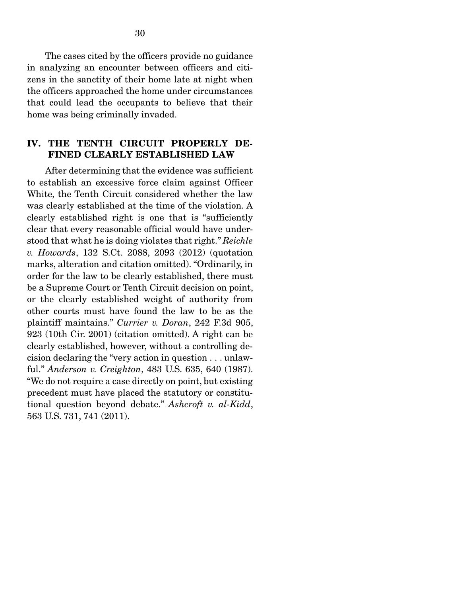The cases cited by the officers provide no guidance in analyzing an encounter between officers and citizens in the sanctity of their home late at night when the officers approached the home under circumstances that could lead the occupants to believe that their home was being criminally invaded.

### IV. THE TENTH CIRCUIT PROPERLY DE-FINED CLEARLY ESTABLISHED LAW

 After determining that the evidence was sufficient to establish an excessive force claim against Officer White, the Tenth Circuit considered whether the law was clearly established at the time of the violation. A clearly established right is one that is "sufficiently clear that every reasonable official would have understood that what he is doing violates that right." *Reichle v. Howards*, 132 S.Ct. 2088, 2093 (2012) (quotation marks, alteration and citation omitted). "Ordinarily, in order for the law to be clearly established, there must be a Supreme Court or Tenth Circuit decision on point, or the clearly established weight of authority from other courts must have found the law to be as the plaintiff maintains." *Currier v. Doran*, 242 F.3d 905, 923 (10th Cir. 2001) (citation omitted). A right can be clearly established, however, without a controlling decision declaring the "very action in question . . . unlawful." *Anderson v. Creighton*, 483 U.S. 635, 640 (1987). "We do not require a case directly on point, but existing precedent must have placed the statutory or constitutional question beyond debate." *Ashcroft v. al-Kidd*, 563 U.S. 731, 741 (2011).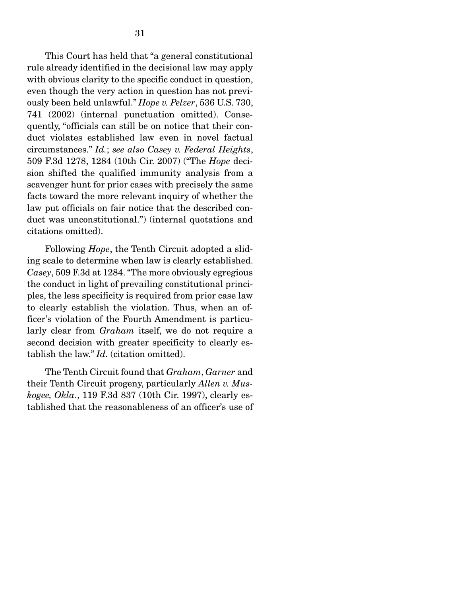This Court has held that "a general constitutional rule already identified in the decisional law may apply with obvious clarity to the specific conduct in question, even though the very action in question has not previously been held unlawful." *Hope v. Pelzer*, 536 U.S. 730, 741 (2002) (internal punctuation omitted). Consequently, "officials can still be on notice that their conduct violates established law even in novel factual circumstances." *Id.*; *see also Casey v. Federal Heights*, 509 F.3d 1278, 1284 (10th Cir. 2007) ("The *Hope* decision shifted the qualified immunity analysis from a scavenger hunt for prior cases with precisely the same facts toward the more relevant inquiry of whether the law put officials on fair notice that the described conduct was unconstitutional.") (internal quotations and citations omitted).

 Following *Hope*, the Tenth Circuit adopted a sliding scale to determine when law is clearly established. *Casey*, 509 F.3d at 1284. "The more obviously egregious the conduct in light of prevailing constitutional principles, the less specificity is required from prior case law to clearly establish the violation. Thus, when an officer's violation of the Fourth Amendment is particularly clear from *Graham* itself, we do not require a second decision with greater specificity to clearly establish the law." *Id.* (citation omitted).

 The Tenth Circuit found that *Graham*, *Garner* and their Tenth Circuit progeny, particularly *Allen v. Muskogee, Okla.*, 119 F.3d 837 (10th Cir. 1997), clearly established that the reasonableness of an officer's use of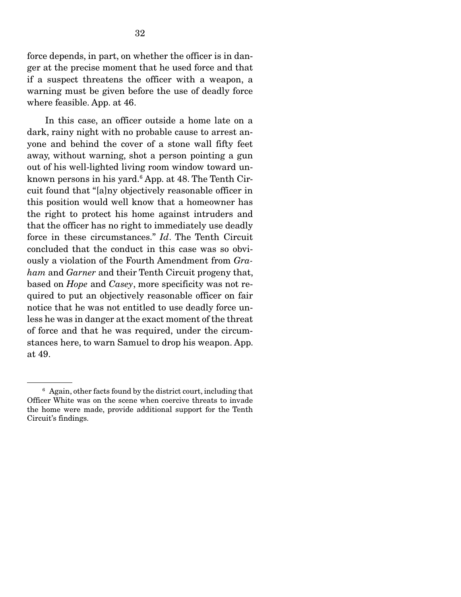force depends, in part, on whether the officer is in danger at the precise moment that he used force and that if a suspect threatens the officer with a weapon, a warning must be given before the use of deadly force where feasible. App. at 46.

 In this case, an officer outside a home late on a dark, rainy night with no probable cause to arrest anyone and behind the cover of a stone wall fifty feet away, without warning, shot a person pointing a gun out of his well-lighted living room window toward unknown persons in his yard.6 App. at 48. The Tenth Circuit found that "[a]ny objectively reasonable officer in this position would well know that a homeowner has the right to protect his home against intruders and that the officer has no right to immediately use deadly force in these circumstances." *Id*. The Tenth Circuit concluded that the conduct in this case was so obviously a violation of the Fourth Amendment from *Graham* and *Garner* and their Tenth Circuit progeny that, based on *Hope* and *Casey*, more specificity was not required to put an objectively reasonable officer on fair notice that he was not entitled to use deadly force unless he was in danger at the exact moment of the threat of force and that he was required, under the circumstances here, to warn Samuel to drop his weapon. App. at 49.

<sup>6</sup> Again, other facts found by the district court, including that Officer White was on the scene when coercive threats to invade the home were made, provide additional support for the Tenth Circuit's findings.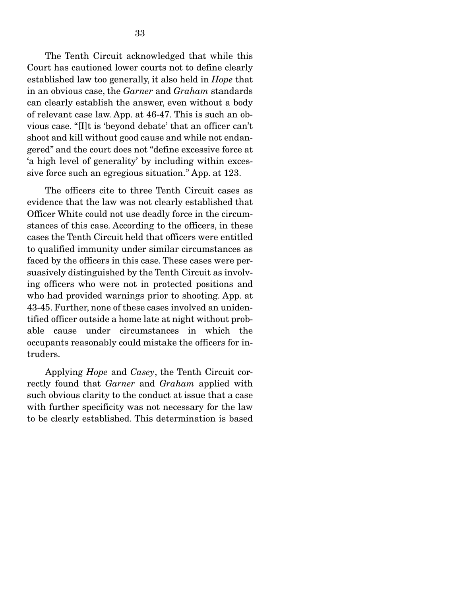The Tenth Circuit acknowledged that while this Court has cautioned lower courts not to define clearly established law too generally, it also held in *Hope* that in an obvious case, the *Garner* and *Graham* standards can clearly establish the answer, even without a body of relevant case law. App. at 46-47. This is such an obvious case. "[I]t is 'beyond debate' that an officer can't shoot and kill without good cause and while not endangered" and the court does not "define excessive force at 'a high level of generality' by including within excessive force such an egregious situation." App. at 123.

 The officers cite to three Tenth Circuit cases as evidence that the law was not clearly established that Officer White could not use deadly force in the circumstances of this case. According to the officers, in these cases the Tenth Circuit held that officers were entitled to qualified immunity under similar circumstances as faced by the officers in this case. These cases were persuasively distinguished by the Tenth Circuit as involving officers who were not in protected positions and who had provided warnings prior to shooting. App. at 43-45. Further, none of these cases involved an unidentified officer outside a home late at night without probable cause under circumstances in which the occupants reasonably could mistake the officers for intruders.

 Applying *Hope* and *Casey*, the Tenth Circuit correctly found that *Garner* and *Graham* applied with such obvious clarity to the conduct at issue that a case with further specificity was not necessary for the law to be clearly established. This determination is based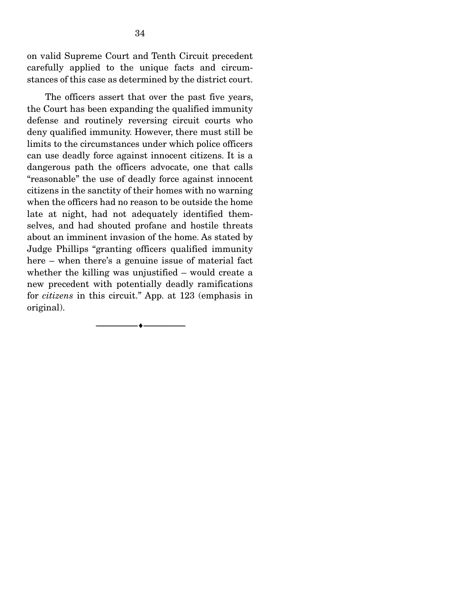on valid Supreme Court and Tenth Circuit precedent carefully applied to the unique facts and circumstances of this case as determined by the district court.

 The officers assert that over the past five years, the Court has been expanding the qualified immunity defense and routinely reversing circuit courts who deny qualified immunity. However, there must still be limits to the circumstances under which police officers can use deadly force against innocent citizens. It is a dangerous path the officers advocate, one that calls "reasonable" the use of deadly force against innocent citizens in the sanctity of their homes with no warning when the officers had no reason to be outside the home late at night, had not adequately identified themselves, and had shouted profane and hostile threats about an imminent invasion of the home. As stated by Judge Phillips "granting officers qualified immunity here – when there's a genuine issue of material fact whether the killing was unjustified – would create a new precedent with potentially deadly ramifications for *citizens* in this circuit." App. at 123 (emphasis in original).

--------------------------------- ---------------------------------